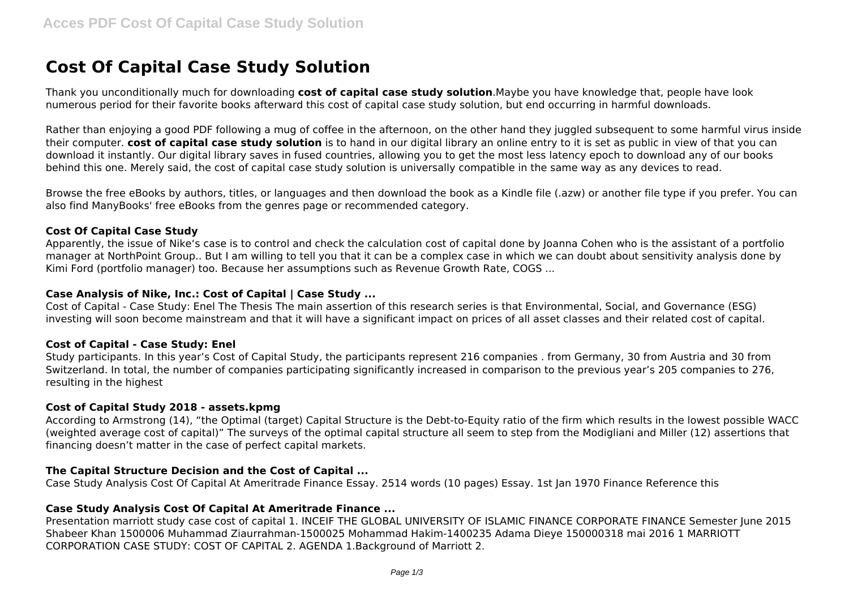# **Cost Of Capital Case Study Solution**

Thank you unconditionally much for downloading **cost of capital case study solution**.Maybe you have knowledge that, people have look numerous period for their favorite books afterward this cost of capital case study solution, but end occurring in harmful downloads.

Rather than enjoying a good PDF following a mug of coffee in the afternoon, on the other hand they juggled subsequent to some harmful virus inside their computer. **cost of capital case study solution** is to hand in our digital library an online entry to it is set as public in view of that you can download it instantly. Our digital library saves in fused countries, allowing you to get the most less latency epoch to download any of our books behind this one. Merely said, the cost of capital case study solution is universally compatible in the same way as any devices to read.

Browse the free eBooks by authors, titles, or languages and then download the book as a Kindle file (.azw) or another file type if you prefer. You can also find ManyBooks' free eBooks from the genres page or recommended category.

#### **Cost Of Capital Case Study**

Apparently, the issue of Nike's case is to control and check the calculation cost of capital done by Joanna Cohen who is the assistant of a portfolio manager at NorthPoint Group.. But I am willing to tell you that it can be a complex case in which we can doubt about sensitivity analysis done by Kimi Ford (portfolio manager) too. Because her assumptions such as Revenue Growth Rate, COGS ...

## **Case Analysis of Nike, Inc.: Cost of Capital | Case Study ...**

Cost of Capital - Case Study: Enel The Thesis The main assertion of this research series is that Environmental, Social, and Governance (ESG) investing will soon become mainstream and that it will have a significant impact on prices of all asset classes and their related cost of capital.

#### **Cost of Capital - Case Study: Enel**

Study participants. In this year's Cost of Capital Study, the participants represent 216 companies . from Germany, 30 from Austria and 30 from Switzerland. In total, the number of companies participating significantly increased in comparison to the previous year's 205 companies to 276, resulting in the highest

## **Cost of Capital Study 2018 - assets.kpmg**

According to Armstrong (14), "the Optimal (target) Capital Structure is the Debt-to-Equity ratio of the firm which results in the lowest possible WACC (weighted average cost of capital)" The surveys of the optimal capital structure all seem to step from the Modigliani and Miller (12) assertions that financing doesn't matter in the case of perfect capital markets.

# **The Capital Structure Decision and the Cost of Capital ...**

Case Study Analysis Cost Of Capital At Ameritrade Finance Essay. 2514 words (10 pages) Essay. 1st Jan 1970 Finance Reference this

# **Case Study Analysis Cost Of Capital At Ameritrade Finance ...**

Presentation marriott study case cost of capital 1. INCEIF THE GLOBAL UNIVERSITY OF ISLAMIC FINANCE CORPORATE FINANCE Semester June 2015 Shabeer Khan 1500006 Muhammad Ziaurrahman-1500025 Mohammad Hakim-1400235 Adama Dieye 150000318 mai 2016 1 MARRIOTT CORPORATION CASE STUDY: COST OF CAPITAL 2. AGENDA 1.Background of Marriott 2.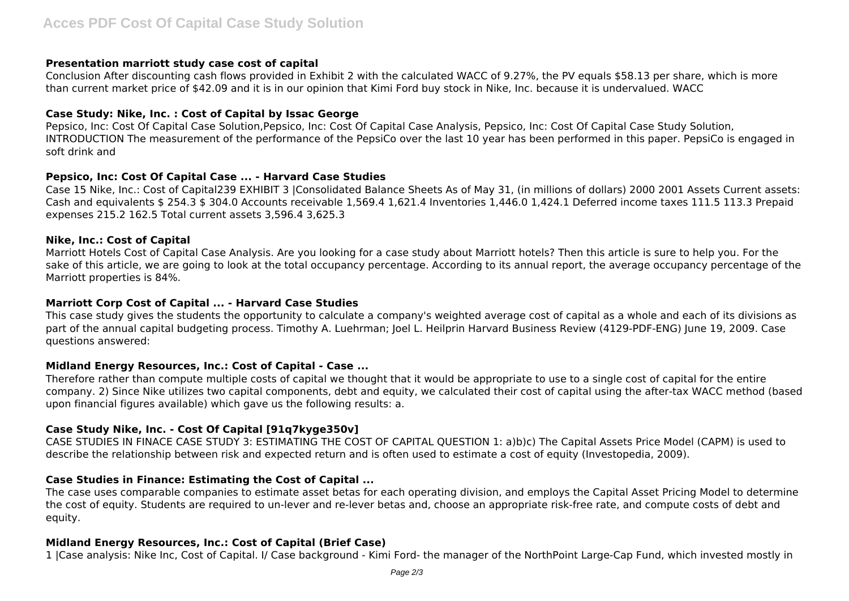## **Presentation marriott study case cost of capital**

Conclusion After discounting cash flows provided in Exhibit 2 with the calculated WACC of 9.27%, the PV equals \$58.13 per share, which is more than current market price of \$42.09 and it is in our opinion that Kimi Ford buy stock in Nike, Inc. because it is undervalued. WACC

## **Case Study: Nike, Inc. : Cost of Capital by Issac George**

Pepsico, Inc: Cost Of Capital Case Solution,Pepsico, Inc: Cost Of Capital Case Analysis, Pepsico, Inc: Cost Of Capital Case Study Solution, INTRODUCTION The measurement of the performance of the PepsiCo over the last 10 year has been performed in this paper. PepsiCo is engaged in soft drink and

# **Pepsico, Inc: Cost Of Capital Case ... - Harvard Case Studies**

Case 15 Nike, Inc.: Cost of Capital239 EXHIBIT 3 |Consolidated Balance Sheets As of May 31, (in millions of dollars) 2000 2001 Assets Current assets: Cash and equivalents \$ 254.3 \$ 304.0 Accounts receivable 1,569.4 1,621.4 Inventories 1,446.0 1,424.1 Deferred income taxes 111.5 113.3 Prepaid expenses 215.2 162.5 Total current assets 3,596.4 3,625.3

## **Nike, Inc.: Cost of Capital**

Marriott Hotels Cost of Capital Case Analysis. Are you looking for a case study about Marriott hotels? Then this article is sure to help you. For the sake of this article, we are going to look at the total occupancy percentage. According to its annual report, the average occupancy percentage of the Marriott properties is 84%.

#### **Marriott Corp Cost of Capital ... - Harvard Case Studies**

This case study gives the students the opportunity to calculate a company's weighted average cost of capital as a whole and each of its divisions as part of the annual capital budgeting process. Timothy A. Luehrman; Joel L. Heilprin Harvard Business Review (4129-PDF-ENG) June 19, 2009. Case questions answered:

#### **Midland Energy Resources, Inc.: Cost of Capital - Case ...**

Therefore rather than compute multiple costs of capital we thought that it would be appropriate to use to a single cost of capital for the entire company. 2) Since Nike utilizes two capital components, debt and equity, we calculated their cost of capital using the after-tax WACC method (based upon financial figures available) which gave us the following results: a.

# **Case Study Nike, Inc. - Cost Of Capital [91q7kyge350v]**

CASE STUDIES IN FINACE CASE STUDY 3: ESTIMATING THE COST OF CAPITAL QUESTION 1: a)b)c) The Capital Assets Price Model (CAPM) is used to describe the relationship between risk and expected return and is often used to estimate a cost of equity (Investopedia, 2009).

# **Case Studies in Finance: Estimating the Cost of Capital ...**

The case uses comparable companies to estimate asset betas for each operating division, and employs the Capital Asset Pricing Model to determine the cost of equity. Students are required to un-lever and re-lever betas and, choose an appropriate risk-free rate, and compute costs of debt and equity.

# **Midland Energy Resources, Inc.: Cost of Capital (Brief Case)**

1 |Case analysis: Nike Inc, Cost of Capital. I/ Case background - Kimi Ford- the manager of the NorthPoint Large-Cap Fund, which invested mostly in